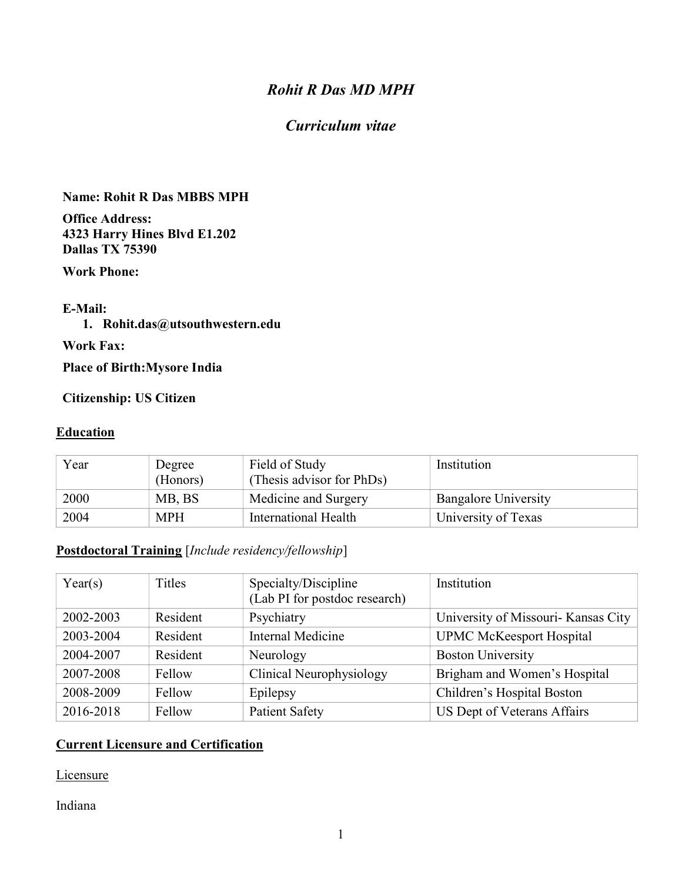# Rohit R Das MD MPH

# Curriculum vitae

#### Name: Rohit R Das MBBS MPH

Office Address: 4323 Harry Hines Blvd E1.202 Dallas TX 75390

Work Phone:

#### E-Mail:

#### 1. Rohit.das@utsouthwestern.edu

Work Fax:

Place of Birth:Mysore India

#### Citizenship: US Citizen

#### **Education**

| Year | Degree<br>(Honors) | Field of Study<br>(Thesis advisor for PhDs) | Institution                 |
|------|--------------------|---------------------------------------------|-----------------------------|
| 2000 | MB, BS             | Medicine and Surgery                        | <b>Bangalore University</b> |
| 2004 | <b>MPH</b>         | International Health                        | University of Texas         |

#### Postdoctoral Training [Include residency/fellowship]

| Year(s)   | Titles   | Specialty/Discipline<br>(Lab PI for postdoc research) | Institution                         |
|-----------|----------|-------------------------------------------------------|-------------------------------------|
| 2002-2003 | Resident | Psychiatry                                            | University of Missouri- Kansas City |
| 2003-2004 | Resident | Internal Medicine                                     | <b>UPMC McKeesport Hospital</b>     |
| 2004-2007 | Resident | Neurology                                             | <b>Boston University</b>            |
| 2007-2008 | Fellow   | Clinical Neurophysiology                              | Brigham and Women's Hospital        |
| 2008-2009 | Fellow   | Epilepsy                                              | Children's Hospital Boston          |
| 2016-2018 | Fellow   | <b>Patient Safety</b>                                 | US Dept of Veterans Affairs         |

#### Current Licensure and Certification

**Licensure** 

Indiana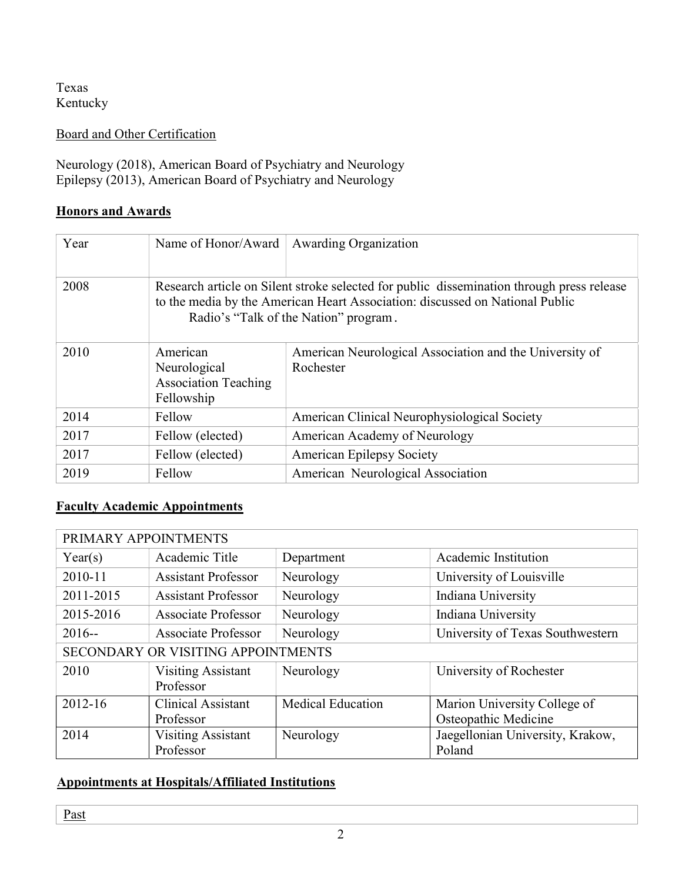Texas Kentucky

Board and Other Certification

Neurology (2018), American Board of Psychiatry and Neurology Epilepsy (2013), American Board of Psychiatry and Neurology

### **Honors and Awards**

| Year | Name of Honor/Award                                                   | <b>Awarding Organization</b>                                                                                                                                                                                       |
|------|-----------------------------------------------------------------------|--------------------------------------------------------------------------------------------------------------------------------------------------------------------------------------------------------------------|
| 2008 |                                                                       | Research article on Silent stroke selected for public dissemination through press release<br>to the media by the American Heart Association: discussed on National Public<br>Radio's "Talk of the Nation" program. |
| 2010 | American<br>Neurological<br><b>Association Teaching</b><br>Fellowship | American Neurological Association and the University of<br>Rochester                                                                                                                                               |
| 2014 | Fellow                                                                | American Clinical Neurophysiological Society                                                                                                                                                                       |
| 2017 | Fellow (elected)                                                      | American Academy of Neurology                                                                                                                                                                                      |
| 2017 | Fellow (elected)                                                      | <b>American Epilepsy Society</b>                                                                                                                                                                                   |
| 2019 | Fellow                                                                | American Neurological Association                                                                                                                                                                                  |

### Faculty Academic Appointments

| PRIMARY APPOINTMENTS               |                                        |                          |                                  |  |  |
|------------------------------------|----------------------------------------|--------------------------|----------------------------------|--|--|
| Year(s)                            | Academic Title                         | Department               | Academic Institution             |  |  |
| 2010-11                            | <b>Assistant Professor</b>             | Neurology                | University of Louisville         |  |  |
| 2011-2015                          | <b>Assistant Professor</b>             | Neurology                | Indiana University               |  |  |
| 2015-2016                          | <b>Associate Professor</b>             | Neurology                | Indiana University               |  |  |
| $2016 -$                           | <b>Associate Professor</b>             | Neurology                | University of Texas Southwestern |  |  |
| SECONDARY OR VISITING APPOINTMENTS |                                        |                          |                                  |  |  |
| 2010                               | <b>Visiting Assistant</b><br>Professor | Neurology                | University of Rochester          |  |  |
| 2012-16                            | <b>Clinical Assistant</b>              | <b>Medical Education</b> | Marion University College of     |  |  |
|                                    | Professor                              |                          | Osteopathic Medicine             |  |  |
| 2014                               | <b>Visiting Assistant</b>              | Neurology                | Jaegellonian University, Krakow, |  |  |
|                                    | Professor                              |                          | Poland                           |  |  |

### Appointments at Hospitals/Affiliated Institutions

Past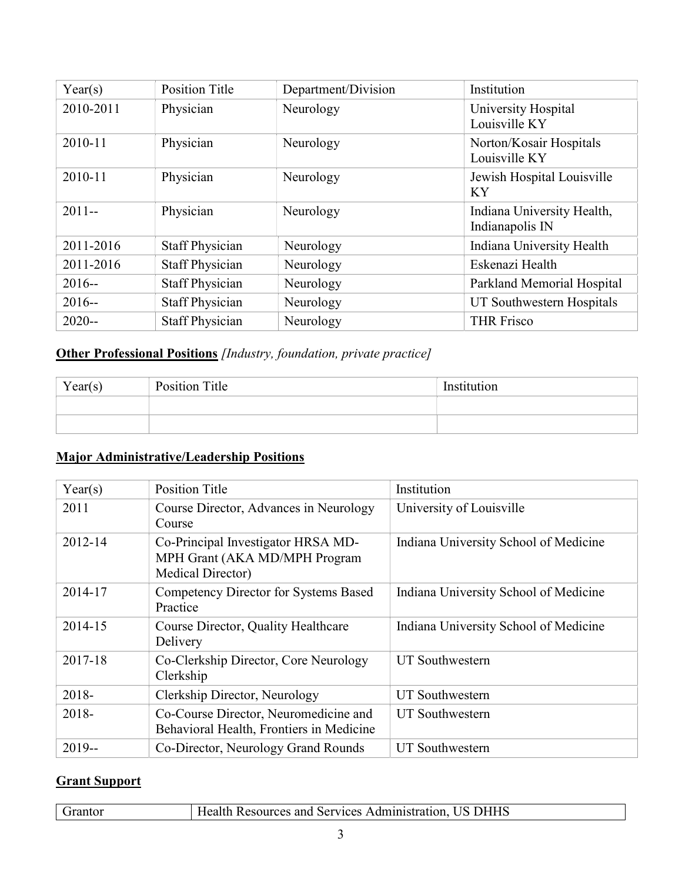| Year(s)   | <b>Position Title</b>  | Department/Division | Institution                                   |
|-----------|------------------------|---------------------|-----------------------------------------------|
| 2010-2011 | Physician              | Neurology           | University Hospital<br>Louisville KY          |
| 2010-11   | Physician              | Neurology           | Norton/Kosair Hospitals<br>Louisville KY      |
| 2010-11   | Physician              | Neurology           | Jewish Hospital Louisville<br>KY              |
| $2011 -$  | Physician              | Neurology           | Indiana University Health,<br>Indianapolis IN |
| 2011-2016 | <b>Staff Physician</b> | Neurology           | Indiana University Health                     |
| 2011-2016 | <b>Staff Physician</b> | Neurology           | Eskenazi Health                               |
| $2016 -$  | <b>Staff Physician</b> | Neurology           | Parkland Memorial Hospital                    |
| $2016 -$  | <b>Staff Physician</b> | Neurology           | UT Southwestern Hospitals                     |
| $2020 -$  | <b>Staff Physician</b> | Neurology           | <b>THR Frisco</b>                             |

# Other Professional Positions [Industry, foundation, private practice]

| Year(s) | Position Title | Institution |
|---------|----------------|-------------|
|         |                |             |
|         |                |             |

# Major Administrative/Leadership Positions

| Year(s)  | <b>Position Title</b>                                                                    | Institution                           |
|----------|------------------------------------------------------------------------------------------|---------------------------------------|
| 2011     | Course Director, Advances in Neurology<br>Course                                         | University of Louisville              |
| 2012-14  | Co-Principal Investigator HRSA MD-<br>MPH Grant (AKA MD/MPH Program<br>Medical Director) | Indiana University School of Medicine |
| 2014-17  | Competency Director for Systems Based<br>Practice                                        | Indiana University School of Medicine |
| 2014-15  | Course Director, Quality Healthcare<br>Delivery                                          | Indiana University School of Medicine |
| 2017-18  | Co-Clerkship Director, Core Neurology<br>Clerkship                                       | <b>UT</b> Southwestern                |
| 2018-    | Clerkship Director, Neurology                                                            | <b>UT Southwestern</b>                |
| 2018-    | Co-Course Director, Neuromedicine and<br>Behavioral Health, Frontiers in Medicine        | UT Southwestern                       |
| $2019 -$ | Co-Director, Neurology Grand Rounds                                                      | <b>UT</b> Southwestern                |

# Grant Support

|--|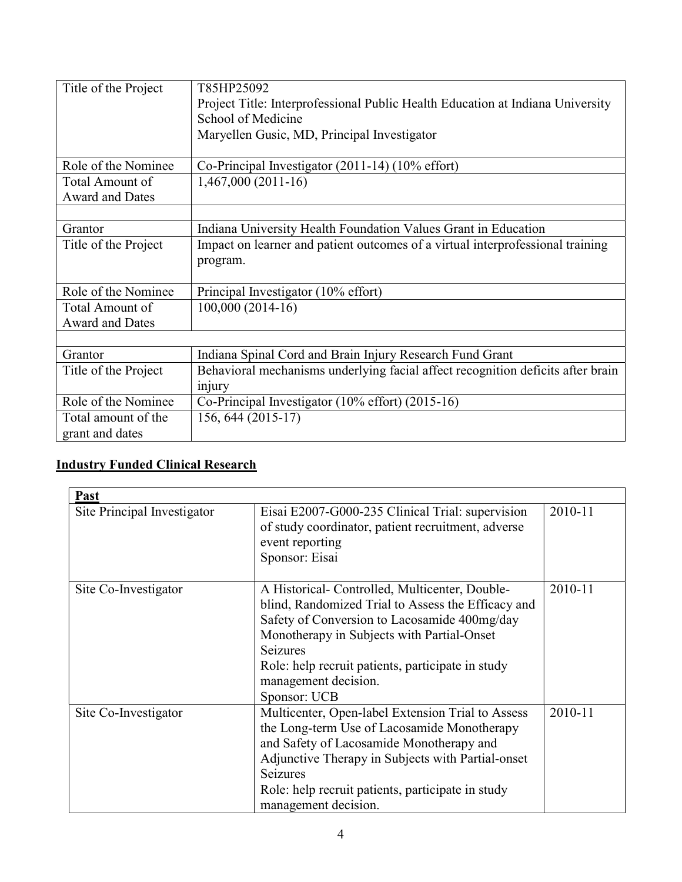| Title of the Project   | T85HP25092                                                                      |
|------------------------|---------------------------------------------------------------------------------|
|                        | Project Title: Interprofessional Public Health Education at Indiana University  |
|                        | School of Medicine                                                              |
|                        | Maryellen Gusic, MD, Principal Investigator                                     |
|                        |                                                                                 |
| Role of the Nominee    | Co-Principal Investigator $(2011-14)$ $(10\%$ effort)                           |
| Total Amount of        | $1,467,000(2011-16)$                                                            |
| <b>Award and Dates</b> |                                                                                 |
|                        |                                                                                 |
| Grantor                | Indiana University Health Foundation Values Grant in Education                  |
| Title of the Project   | Impact on learner and patient outcomes of a virtual interprofessional training  |
|                        | program.                                                                        |
|                        |                                                                                 |
| Role of the Nominee    | Principal Investigator (10% effort)                                             |
| Total Amount of        | 100,000 (2014-16)                                                               |
| Award and Dates        |                                                                                 |
|                        |                                                                                 |
| Grantor                | Indiana Spinal Cord and Brain Injury Research Fund Grant                        |
| Title of the Project   | Behavioral mechanisms underlying facial affect recognition deficits after brain |
|                        | injury                                                                          |
| Role of the Nominee    | Co-Principal Investigator (10% effort) (2015-16)                                |
| Total amount of the    | 156, 644 (2015-17)                                                              |
| grant and dates        |                                                                                 |

### Industry Funded Clinical Research

| Past                        |                                                                                                                                                                                                                                                                                                                    |         |
|-----------------------------|--------------------------------------------------------------------------------------------------------------------------------------------------------------------------------------------------------------------------------------------------------------------------------------------------------------------|---------|
| Site Principal Investigator | Eisai E2007-G000-235 Clinical Trial: supervision<br>of study coordinator, patient recruitment, adverse<br>event reporting<br>Sponsor: Eisai                                                                                                                                                                        | 2010-11 |
| Site Co-Investigator        | A Historical- Controlled, Multicenter, Double-<br>blind, Randomized Trial to Assess the Efficacy and<br>Safety of Conversion to Lacosamide 400mg/day<br>Monotherapy in Subjects with Partial-Onset<br><b>Seizures</b><br>Role: help recruit patients, participate in study<br>management decision.<br>Sponsor: UCB | 2010-11 |
| Site Co-Investigator        | Multicenter, Open-label Extension Trial to Assess<br>the Long-term Use of Lacosamide Monotherapy<br>and Safety of Lacosamide Monotherapy and<br>Adjunctive Therapy in Subjects with Partial-onset<br>Seizures<br>Role: help recruit patients, participate in study<br>management decision.                         | 2010-11 |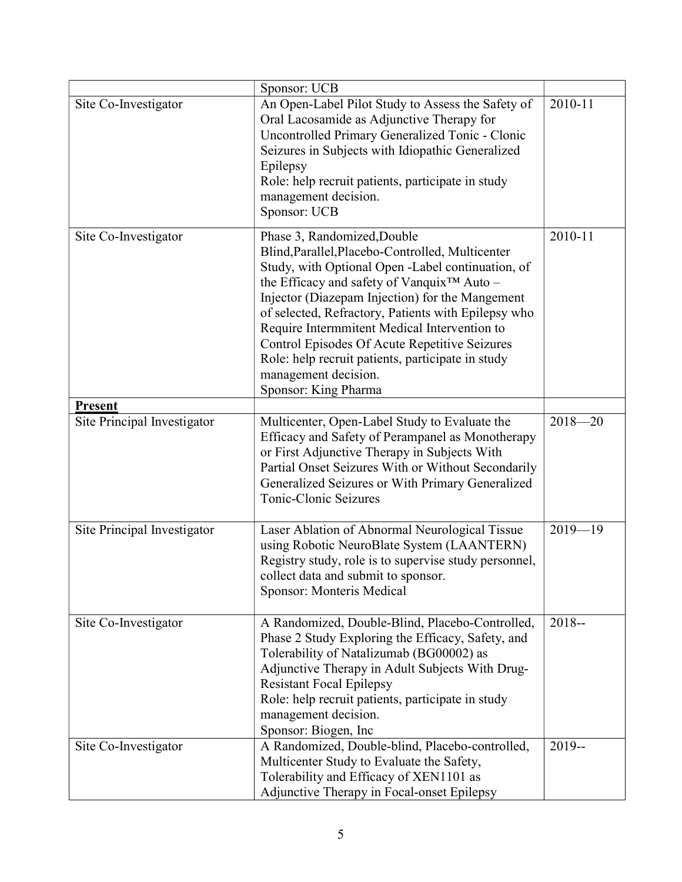|                                               | Sponsor: UCB                                                                                                                                                                                                                                                                                                                                                                                                                                                                                                   |             |
|-----------------------------------------------|----------------------------------------------------------------------------------------------------------------------------------------------------------------------------------------------------------------------------------------------------------------------------------------------------------------------------------------------------------------------------------------------------------------------------------------------------------------------------------------------------------------|-------------|
| Site Co-Investigator                          | An Open-Label Pilot Study to Assess the Safety of<br>Oral Lacosamide as Adjunctive Therapy for<br>Uncontrolled Primary Generalized Tonic - Clonic<br>Seizures in Subjects with Idiopathic Generalized<br>Epilepsy<br>Role: help recruit patients, participate in study<br>management decision.<br>Sponsor: UCB                                                                                                                                                                                                 | 2010-11     |
| Site Co-Investigator                          | Phase 3, Randomized, Double<br>Blind, Parallel, Placebo-Controlled, Multicenter<br>Study, with Optional Open -Label continuation, of<br>the Efficacy and safety of Vanquix <sup>™</sup> Auto -<br>Injector (Diazepam Injection) for the Mangement<br>of selected, Refractory, Patients with Epilepsy who<br>Require Intermmitent Medical Intervention to<br>Control Episodes Of Acute Repetitive Seizures<br>Role: help recruit patients, participate in study<br>management decision.<br>Sponsor: King Pharma | 2010-11     |
| <b>Present</b><br>Site Principal Investigator | Multicenter, Open-Label Study to Evaluate the<br>Efficacy and Safety of Perampanel as Monotherapy<br>or First Adjunctive Therapy in Subjects With<br>Partial Onset Seizures With or Without Secondarily<br>Generalized Seizures or With Primary Generalized<br>Tonic-Clonic Seizures                                                                                                                                                                                                                           | $2018 - 20$ |
| Site Principal Investigator                   | Laser Ablation of Abnormal Neurological Tissue<br>using Robotic NeuroBlate System (LAANTERN)<br>Registry study, role is to supervise study personnel,<br>collect data and submit to sponsor.<br>Sponsor: Monteris Medical                                                                                                                                                                                                                                                                                      | $2019 - 19$ |
| Site Co-Investigator                          | A Randomized, Double-Blind, Placebo-Controlled,<br>Phase 2 Study Exploring the Efficacy, Safety, and<br>Tolerability of Natalizumab (BG00002) as<br>Adjunctive Therapy in Adult Subjects With Drug-<br><b>Resistant Focal Epilepsy</b><br>Role: help recruit patients, participate in study<br>management decision.<br>Sponsor: Biogen, Inc                                                                                                                                                                    | $2018 -$    |
| Site Co-Investigator                          | A Randomized, Double-blind, Placebo-controlled,<br>Multicenter Study to Evaluate the Safety,<br>Tolerability and Efficacy of XEN1101 as<br>Adjunctive Therapy in Focal-onset Epilepsy                                                                                                                                                                                                                                                                                                                          | $2019 -$    |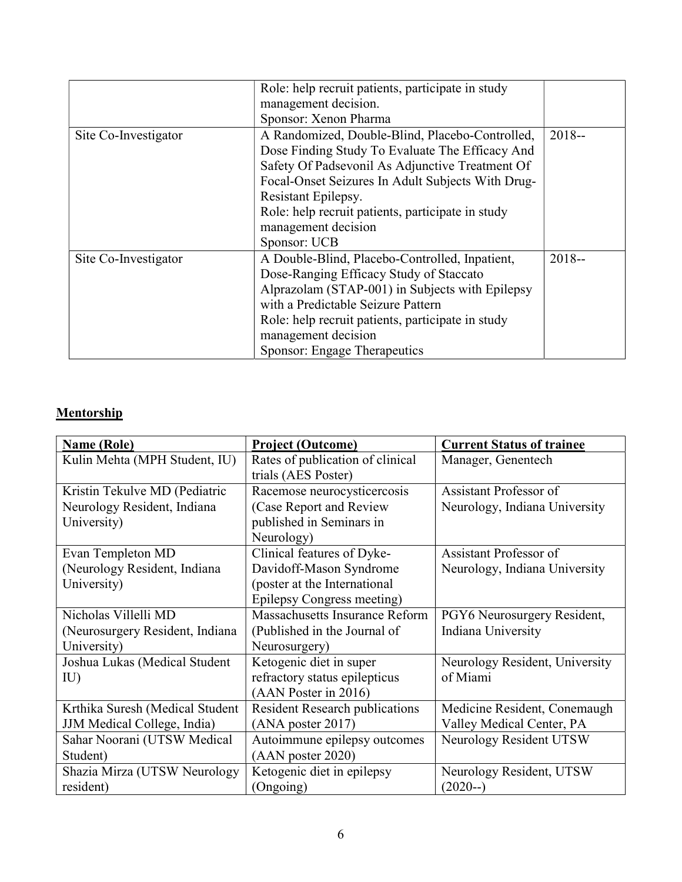|                      | Role: help recruit patients, participate in study |          |
|----------------------|---------------------------------------------------|----------|
|                      | management decision.                              |          |
|                      | Sponsor: Xenon Pharma                             |          |
| Site Co-Investigator | A Randomized, Double-Blind, Placebo-Controlled,   | $2018 -$ |
|                      | Dose Finding Study To Evaluate The Efficacy And   |          |
|                      | Safety Of Padsevonil As Adjunctive Treatment Of   |          |
|                      | Focal-Onset Seizures In Adult Subjects With Drug- |          |
|                      | Resistant Epilepsy.                               |          |
|                      | Role: help recruit patients, participate in study |          |
|                      | management decision                               |          |
|                      | Sponsor: UCB                                      |          |
| Site Co-Investigator | A Double-Blind, Placebo-Controlled, Inpatient,    | $2018 -$ |
|                      | Dose-Ranging Efficacy Study of Staccato           |          |
|                      | Alprazolam (STAP-001) in Subjects with Epilepsy   |          |
|                      | with a Predictable Seizure Pattern                |          |
|                      | Role: help recruit patients, participate in study |          |
|                      | management decision                               |          |
|                      | Sponsor: Engage Therapeutics                      |          |

# Mentorship

| <b>Name (Role)</b>              | <b>Project (Outcome)</b>              | <b>Current Status of trainee</b> |
|---------------------------------|---------------------------------------|----------------------------------|
| Kulin Mehta (MPH Student, IU)   | Rates of publication of clinical      | Manager, Genentech               |
|                                 | trials (AES Poster)                   |                                  |
| Kristin Tekulve MD (Pediatric   | Racemose neurocysticercosis           | <b>Assistant Professor of</b>    |
| Neurology Resident, Indiana     | (Case Report and Review               | Neurology, Indiana University    |
| University)                     | published in Seminars in              |                                  |
|                                 | Neurology)                            |                                  |
| Evan Templeton MD               | Clinical features of Dyke-            | Assistant Professor of           |
| (Neurology Resident, Indiana    | Davidoff-Mason Syndrome               | Neurology, Indiana University    |
| University)                     | (poster at the International          |                                  |
|                                 | Epilepsy Congress meeting)            |                                  |
| Nicholas Villelli MD            | Massachusetts Insurance Reform        | PGY6 Neurosurgery Resident,      |
| (Neurosurgery Resident, Indiana | (Published in the Journal of          | Indiana University               |
| University)                     | Neurosurgery)                         |                                  |
| Joshua Lukas (Medical Student   | Ketogenic diet in super               | Neurology Resident, University   |
| IU                              | refractory status epilepticus         | of Miami                         |
|                                 | (AAN Poster in 2016)                  |                                  |
| Krthika Suresh (Medical Student | <b>Resident Research publications</b> | Medicine Resident, Conemaugh     |
| JJM Medical College, India)     | (ANA poster 2017)                     | Valley Medical Center, PA        |
| Sahar Noorani (UTSW Medical     | Autoimmune epilepsy outcomes          | Neurology Resident UTSW          |
| Student)                        | (AAN poster 2020)                     |                                  |
| Shazia Mirza (UTSW Neurology    | Ketogenic diet in epilepsy            | Neurology Resident, UTSW         |
| resident)                       | (Ongoing)                             | $(2020-)$                        |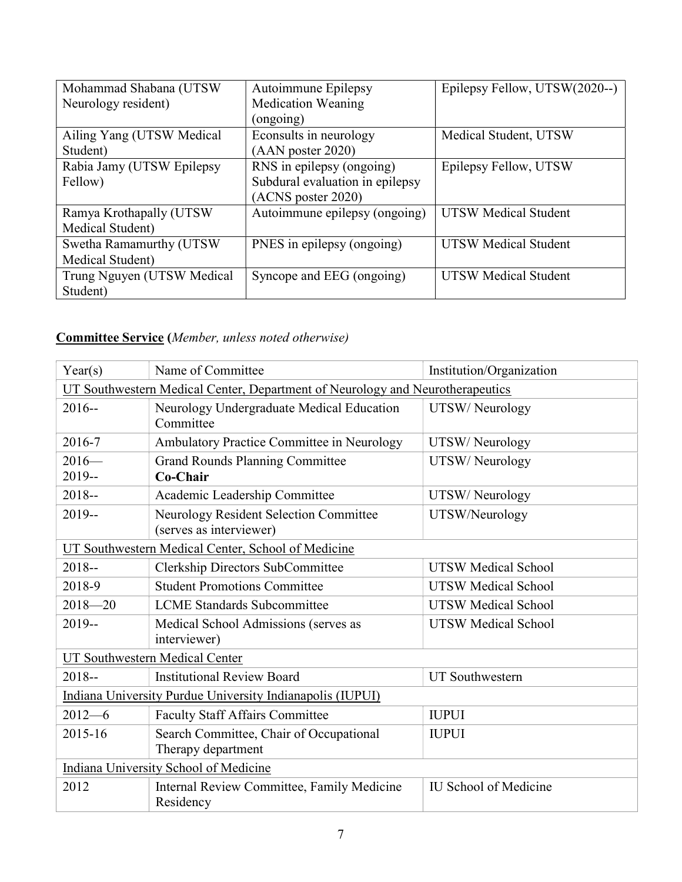| Mohammad Shabana (UTSW     | Autoimmune Epilepsy             | Epilepsy Fellow, UTSW(2020--) |
|----------------------------|---------------------------------|-------------------------------|
| Neurology resident)        | <b>Medication Weaning</b>       |                               |
|                            | (ongoing)                       |                               |
| Ailing Yang (UTSW Medical  | Econsults in neurology          | Medical Student, UTSW         |
| Student)                   | $(AAN$ poster 2020)             |                               |
| Rabia Jamy (UTSW Epilepsy  | RNS in epilepsy (ongoing)       | Epilepsy Fellow, UTSW         |
| Fellow)                    | Subdural evaluation in epilepsy |                               |
|                            | (ACNS poster 2020)              |                               |
| Ramya Krothapally (UTSW    | Autoimmune epilepsy (ongoing)   | <b>UTSW Medical Student</b>   |
| Medical Student)           |                                 |                               |
| Swetha Ramamurthy (UTSW    | PNES in epilepsy (ongoing)      | <b>UTSW Medical Student</b>   |
| Medical Student)           |                                 |                               |
| Trung Nguyen (UTSW Medical | Syncope and EEG (ongoing)       | <b>UTSW Medical Student</b>   |
| Student)                   |                                 |                               |

# Committee Service (Member, unless noted otherwise)

| Year(s)                                                                       | Name of Committee                                                 | Institution/Organization     |
|-------------------------------------------------------------------------------|-------------------------------------------------------------------|------------------------------|
| UT Southwestern Medical Center, Department of Neurology and Neurotherapeutics |                                                                   |                              |
| $2016 -$                                                                      | Neurology Undergraduate Medical Education<br>Committee            | UTSW/Neurology               |
| 2016-7                                                                        | Ambulatory Practice Committee in Neurology                        | UTSW/Neurology               |
| $2016-$<br>2019--                                                             | <b>Grand Rounds Planning Committee</b><br>Co-Chair                | UTSW/Neurology               |
| $2018 -$                                                                      | Academic Leadership Committee                                     | UTSW/Neurology               |
| $2019 -$                                                                      | Neurology Resident Selection Committee<br>(serves as interviewer) | UTSW/Neurology               |
|                                                                               | UT Southwestern Medical Center, School of Medicine                |                              |
| $2018 -$                                                                      | <b>Clerkship Directors SubCommittee</b>                           | <b>UTSW Medical School</b>   |
| 2018-9                                                                        | <b>Student Promotions Committee</b>                               | <b>UTSW Medical School</b>   |
| $2018 - 20$                                                                   | <b>LCME</b> Standards Subcommittee                                | <b>UTSW Medical School</b>   |
| 2019--                                                                        | Medical School Admissions (serves as<br>interviewer)              | <b>UTSW Medical School</b>   |
|                                                                               | <b>UT Southwestern Medical Center</b>                             |                              |
| $2018 -$                                                                      | <b>Institutional Review Board</b>                                 | <b>UT</b> Southwestern       |
| Indiana University Purdue University Indianapolis (IUPUI)                     |                                                                   |                              |
| $2012 - 6$                                                                    | <b>Faculty Staff Affairs Committee</b>                            | <b>IUPUI</b>                 |
| 2015-16                                                                       | Search Committee, Chair of Occupational<br>Therapy department     | <b>IUPUI</b>                 |
| Indiana University School of Medicine                                         |                                                                   |                              |
| 2012                                                                          | Internal Review Committee, Family Medicine<br>Residency           | <b>IU School of Medicine</b> |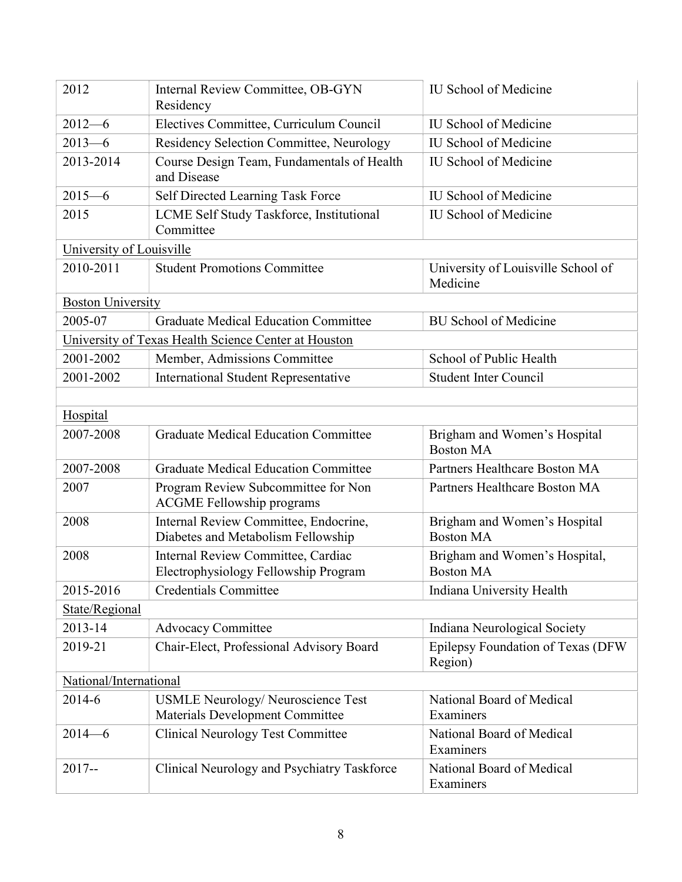| 2012                     | Internal Review Committee, OB-GYN<br>Residency                                      | <b>IU School of Medicine</b>                      |
|--------------------------|-------------------------------------------------------------------------------------|---------------------------------------------------|
| $2012 - 6$               | Electives Committee, Curriculum Council                                             | <b>IU School of Medicine</b>                      |
| $2013 - 6$               | Residency Selection Committee, Neurology                                            | <b>IU School of Medicine</b>                      |
| 2013-2014                | Course Design Team, Fundamentals of Health<br>and Disease                           | <b>IU School of Medicine</b>                      |
| $2015 - 6$               | Self Directed Learning Task Force                                                   | <b>IU School of Medicine</b>                      |
| 2015                     | LCME Self Study Taskforce, Institutional<br>Committee                               | <b>IU School of Medicine</b>                      |
| University of Louisville |                                                                                     |                                                   |
| 2010-2011                | <b>Student Promotions Committee</b>                                                 | University of Louisville School of<br>Medicine    |
| <b>Boston University</b> |                                                                                     |                                                   |
| 2005-07                  | <b>Graduate Medical Education Committee</b>                                         | <b>BU School of Medicine</b>                      |
|                          | University of Texas Health Science Center at Houston                                |                                                   |
| 2001-2002                | Member, Admissions Committee                                                        | School of Public Health                           |
| 2001-2002                | <b>International Student Representative</b>                                         | <b>Student Inter Council</b>                      |
|                          |                                                                                     |                                                   |
| <b>Hospital</b>          |                                                                                     |                                                   |
| 2007-2008                | <b>Graduate Medical Education Committee</b>                                         | Brigham and Women's Hospital<br><b>Boston MA</b>  |
| 2007-2008                | <b>Graduate Medical Education Committee</b>                                         | Partners Healthcare Boston MA                     |
| 2007                     | Program Review Subcommittee for Non<br><b>ACGME Fellowship programs</b>             | Partners Healthcare Boston MA                     |
| 2008                     | Internal Review Committee, Endocrine,<br>Diabetes and Metabolism Fellowship         | Brigham and Women's Hospital<br><b>Boston MA</b>  |
| 2008                     | Internal Review Committee, Cardiac<br>Electrophysiology Fellowship Program          | Brigham and Women's Hospital,<br><b>Boston MA</b> |
| 2015-2016                | <b>Credentials Committee</b>                                                        | Indiana University Health                         |
| State/Regional           |                                                                                     |                                                   |
| 2013-14                  | <b>Advocacy Committee</b>                                                           | Indiana Neurological Society                      |
| 2019-21                  | Chair-Elect, Professional Advisory Board                                            | Epilepsy Foundation of Texas (DFW<br>Region)      |
| National/International   |                                                                                     |                                                   |
| 2014-6                   | <b>USMLE Neurology/ Neuroscience Test</b><br><b>Materials Development Committee</b> | National Board of Medical<br>Examiners            |
| $2014 - 6$               | <b>Clinical Neurology Test Committee</b>                                            | National Board of Medical<br>Examiners            |
| $2017 -$                 | Clinical Neurology and Psychiatry Taskforce                                         | National Board of Medical<br>Examiners            |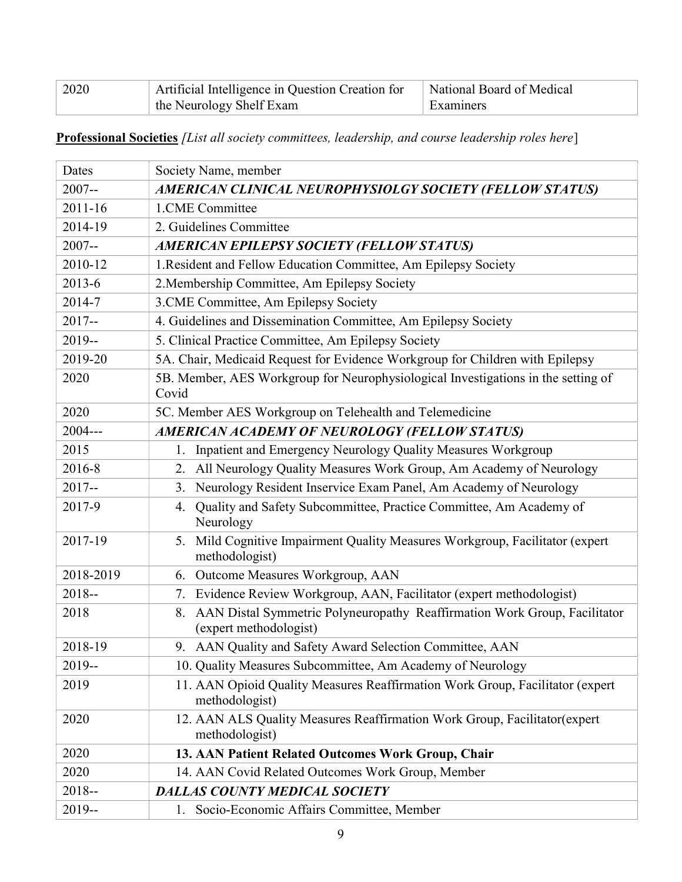| 2020 | Artificial Intelligence in Question Creation for   National Board of Medical |           |
|------|------------------------------------------------------------------------------|-----------|
|      | the Neurology Shelf Exam                                                     | Examiners |

Professional Societies [List all society committees, leadership, and course leadership roles here]

| Dates     | Society Name, member                                                                                      |  |
|-----------|-----------------------------------------------------------------------------------------------------------|--|
| $2007 -$  | AMERICAN CLINICAL NEUROPHYSIOLGY SOCIETY (FELLOW STATUS)                                                  |  |
| 2011-16   | 1.CME Committee                                                                                           |  |
| 2014-19   | 2. Guidelines Committee                                                                                   |  |
| $2007 -$  | <b>AMERICAN EPILEPSY SOCIETY (FELLOW STATUS)</b>                                                          |  |
| 2010-12   | 1. Resident and Fellow Education Committee, Am Epilepsy Society                                           |  |
| 2013-6    | 2. Membership Committee, Am Epilepsy Society                                                              |  |
| 2014-7    | 3. CME Committee, Am Epilepsy Society                                                                     |  |
| $2017 -$  | 4. Guidelines and Dissemination Committee, Am Epilepsy Society                                            |  |
| 2019--    | 5. Clinical Practice Committee, Am Epilepsy Society                                                       |  |
| 2019-20   | 5A. Chair, Medicaid Request for Evidence Workgroup for Children with Epilepsy                             |  |
| 2020      | 5B. Member, AES Workgroup for Neurophysiological Investigations in the setting of<br>Covid                |  |
| 2020      | 5C. Member AES Workgroup on Telehealth and Telemedicine                                                   |  |
| $2004--$  | AMERICAN ACADEMY OF NEUROLOGY (FELLOW STATUS)                                                             |  |
| 2015      | Inpatient and Emergency Neurology Quality Measures Workgroup<br>1.                                        |  |
| 2016-8    | All Neurology Quality Measures Work Group, Am Academy of Neurology<br>2.                                  |  |
| $2017 -$  | Neurology Resident Inservice Exam Panel, Am Academy of Neurology<br>3.                                    |  |
| 2017-9    | Quality and Safety Subcommittee, Practice Committee, Am Academy of<br>4.<br>Neurology                     |  |
| 2017-19   | Mild Cognitive Impairment Quality Measures Workgroup, Facilitator (expert<br>5.<br>methodologist)         |  |
| 2018-2019 | 6. Outcome Measures Workgroup, AAN                                                                        |  |
| $2018 -$  | Evidence Review Workgroup, AAN, Facilitator (expert methodologist)<br>7.                                  |  |
| 2018      | AAN Distal Symmetric Polyneuropathy Reaffirmation Work Group, Facilitator<br>8.<br>(expert methodologist) |  |
| 2018-19   | 9. AAN Quality and Safety Award Selection Committee, AAN                                                  |  |
| $2019 -$  | 10. Quality Measures Subcommittee, Am Academy of Neurology                                                |  |
| 2019      | 11. AAN Opioid Quality Measures Reaffirmation Work Group, Facilitator (expert<br>methodologist)           |  |
| 2020      | 12. AAN ALS Quality Measures Reaffirmation Work Group, Facilitator (expert)<br>methodologist)             |  |
| 2020      | 13. AAN Patient Related Outcomes Work Group, Chair                                                        |  |
| 2020      | 14. AAN Covid Related Outcomes Work Group, Member                                                         |  |
| $2018 -$  | <b>DALLAS COUNTY MEDICAL SOCIETY</b>                                                                      |  |
| $2019 -$  | Socio-Economic Affairs Committee, Member<br>1.                                                            |  |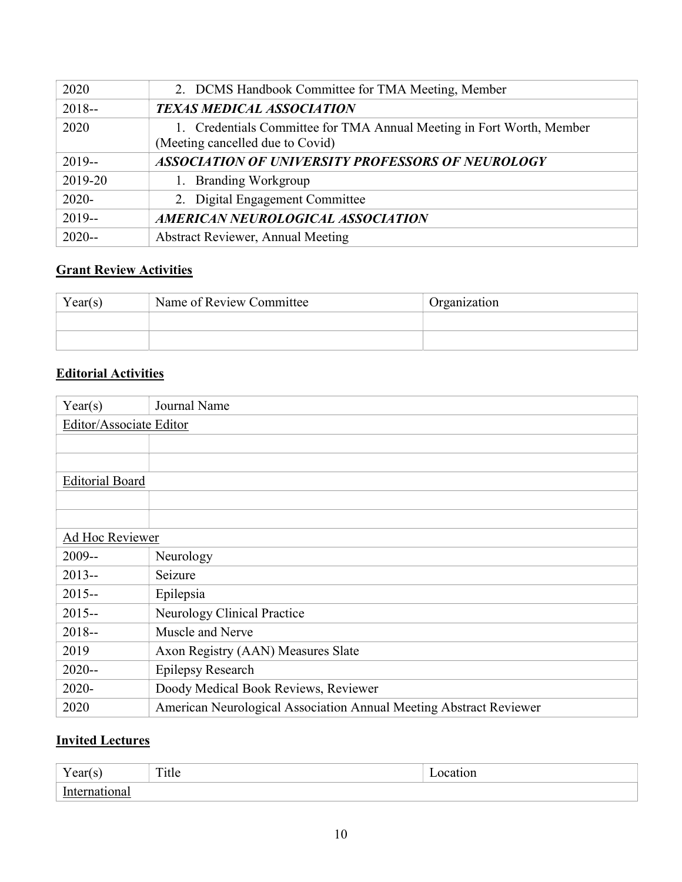| 2020     | 2. DCMS Handbook Committee for TMA Meeting, Member                                                        |
|----------|-----------------------------------------------------------------------------------------------------------|
| $2018 -$ | <b>TEXAS MEDICAL ASSOCIATION</b>                                                                          |
| 2020     | 1. Credentials Committee for TMA Annual Meeting in Fort Worth, Member<br>(Meeting cancelled due to Covid) |
| $2019 -$ | <b>ASSOCIATION OF UNIVERSITY PROFESSORS OF NEUROLOGY</b>                                                  |
| 2019-20  | 1. Branding Workgroup                                                                                     |
| $2020 -$ | 2. Digital Engagement Committee                                                                           |
| $2019 -$ | AMERICAN NEUROLOGICAL ASSOCIATION                                                                         |
| $2020 -$ | <b>Abstract Reviewer, Annual Meeting</b>                                                                  |

# **Grant Review Activities**

| Year(s) | Name of Review Committee | Organization |
|---------|--------------------------|--------------|
|         |                          |              |
|         |                          |              |

### Editorial Activities

| Year(s)                 | Journal Name                                                       |
|-------------------------|--------------------------------------------------------------------|
| Editor/Associate Editor |                                                                    |
|                         |                                                                    |
|                         |                                                                    |
| <b>Editorial Board</b>  |                                                                    |
|                         |                                                                    |
|                         |                                                                    |
| Ad Hoc Reviewer         |                                                                    |
| $2009 -$                | Neurology                                                          |
| $2013 -$                | Seizure                                                            |
| $2015 -$                | Epilepsia                                                          |
| $2015 -$                | Neurology Clinical Practice                                        |
| $2018 -$                | Muscle and Nerve                                                   |
| 2019                    | Axon Registry (AAN) Measures Slate                                 |
| $2020 -$                | <b>Epilepsy Research</b>                                           |
| 2020-                   | Doody Medical Book Reviews, Reviewer                               |
| 2020                    | American Neurological Association Annual Meeting Abstract Reviewer |

### **Invited Lectures**

| ---<br>1 vai<br>טי | $\mathbf{r}$<br><u>i inc</u><br>$- - - - -$ |  |
|--------------------|---------------------------------------------|--|
|                    |                                             |  |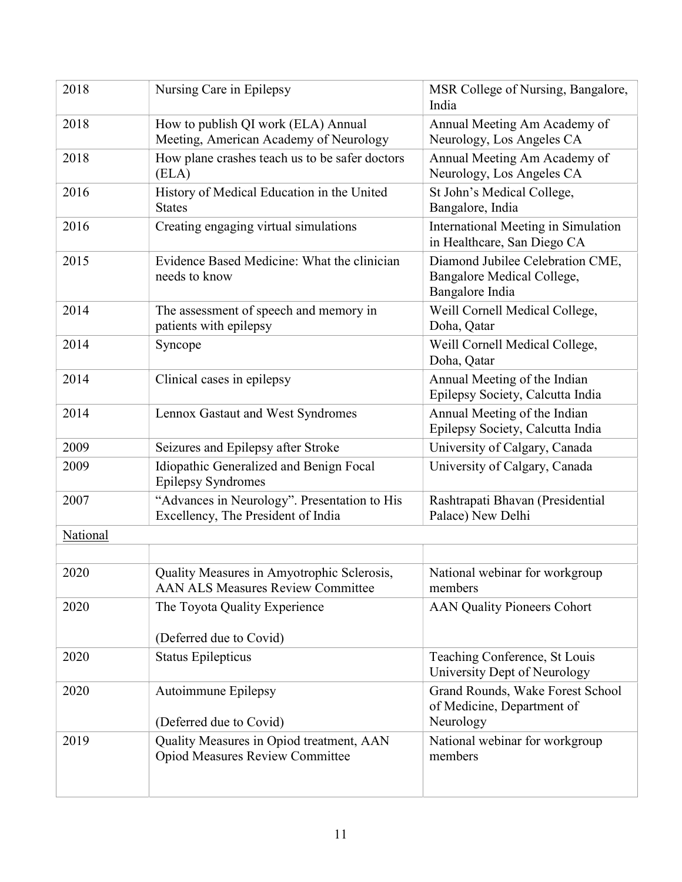| 2018     | Nursing Care in Epilepsy                                                               | MSR College of Nursing, Bangalore,<br>India                                       |
|----------|----------------------------------------------------------------------------------------|-----------------------------------------------------------------------------------|
| 2018     | How to publish QI work (ELA) Annual<br>Meeting, American Academy of Neurology          | Annual Meeting Am Academy of<br>Neurology, Los Angeles CA                         |
| 2018     | How plane crashes teach us to be safer doctors<br>(ELA)                                | Annual Meeting Am Academy of<br>Neurology, Los Angeles CA                         |
| 2016     | History of Medical Education in the United<br><b>States</b>                            | St John's Medical College,<br>Bangalore, India                                    |
| 2016     | Creating engaging virtual simulations                                                  | International Meeting in Simulation<br>in Healthcare, San Diego CA                |
| 2015     | Evidence Based Medicine: What the clinician<br>needs to know                           | Diamond Jubilee Celebration CME,<br>Bangalore Medical College,<br>Bangalore India |
| 2014     | The assessment of speech and memory in<br>patients with epilepsy                       | Weill Cornell Medical College,<br>Doha, Qatar                                     |
| 2014     | Syncope                                                                                | Weill Cornell Medical College,<br>Doha, Qatar                                     |
| 2014     | Clinical cases in epilepsy                                                             | Annual Meeting of the Indian<br>Epilepsy Society, Calcutta India                  |
| 2014     | Lennox Gastaut and West Syndromes                                                      | Annual Meeting of the Indian<br>Epilepsy Society, Calcutta India                  |
| 2009     | Seizures and Epilepsy after Stroke                                                     | University of Calgary, Canada                                                     |
| 2009     | Idiopathic Generalized and Benign Focal<br><b>Epilepsy Syndromes</b>                   | University of Calgary, Canada                                                     |
| 2007     | "Advances in Neurology". Presentation to His<br>Excellency, The President of India     | Rashtrapati Bhavan (Presidential<br>Palace) New Delhi                             |
| National |                                                                                        |                                                                                   |
|          |                                                                                        |                                                                                   |
| 2020     | Quality Measures in Amyotrophic Sclerosis,<br><b>AAN ALS Measures Review Committee</b> | National webinar for workgroup<br>members                                         |
| 2020     | The Toyota Quality Experience                                                          | <b>AAN Quality Pioneers Cohort</b>                                                |
|          | (Deferred due to Covid)                                                                |                                                                                   |
| 2020     | <b>Status Epilepticus</b>                                                              | Teaching Conference, St Louis<br>University Dept of Neurology                     |
| 2020     | Autoimmune Epilepsy<br>(Deferred due to Covid)                                         | Grand Rounds, Wake Forest School<br>of Medicine, Department of<br>Neurology       |
| 2019     | Quality Measures in Opiod treatment, AAN                                               | National webinar for workgroup                                                    |
|          | <b>Opiod Measures Review Committee</b>                                                 | members                                                                           |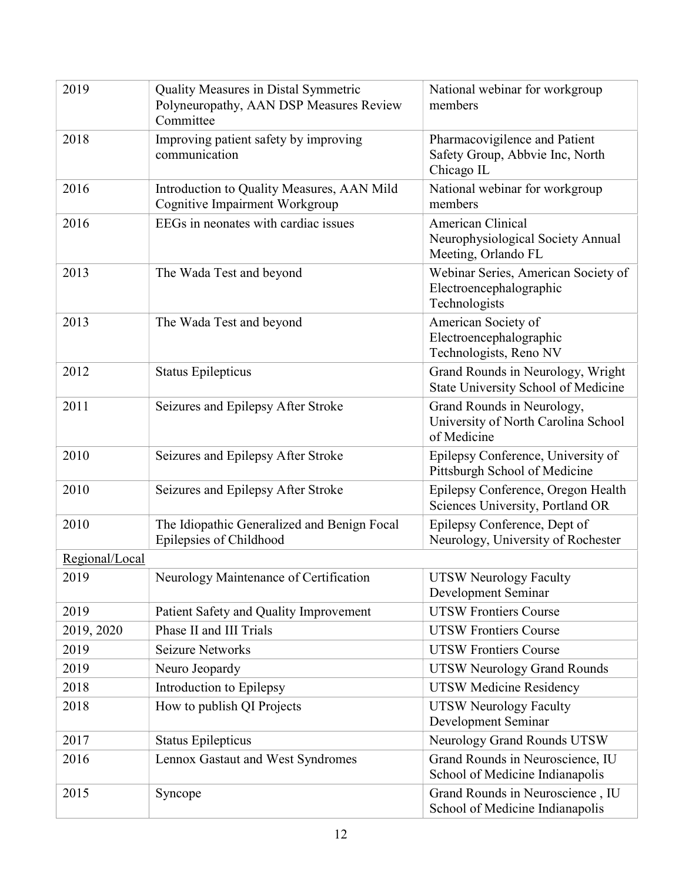| 2019           | Quality Measures in Distal Symmetric<br>Polyneuropathy, AAN DSP Measures Review<br>Committee | National webinar for workgroup<br>members                                        |
|----------------|----------------------------------------------------------------------------------------------|----------------------------------------------------------------------------------|
| 2018           | Improving patient safety by improving<br>communication                                       | Pharmacovigilence and Patient<br>Safety Group, Abbvie Inc, North<br>Chicago IL   |
| 2016           | Introduction to Quality Measures, AAN Mild<br>Cognitive Impairment Workgroup                 | National webinar for workgroup<br>members                                        |
| 2016           | EEGs in neonates with cardiac issues                                                         | American Clinical<br>Neurophysiological Society Annual<br>Meeting, Orlando FL    |
| 2013           | The Wada Test and beyond                                                                     | Webinar Series, American Society of<br>Electroencephalographic<br>Technologists  |
| 2013           | The Wada Test and beyond                                                                     | American Society of<br>Electroencephalographic<br>Technologists, Reno NV         |
| 2012           | <b>Status Epilepticus</b>                                                                    | Grand Rounds in Neurology, Wright<br>State University School of Medicine         |
| 2011           | Seizures and Epilepsy After Stroke                                                           | Grand Rounds in Neurology,<br>University of North Carolina School<br>of Medicine |
| 2010           | Seizures and Epilepsy After Stroke                                                           | Epilepsy Conference, University of<br>Pittsburgh School of Medicine              |
| 2010           | Seizures and Epilepsy After Stroke                                                           | Epilepsy Conference, Oregon Health<br>Sciences University, Portland OR           |
| 2010           | The Idiopathic Generalized and Benign Focal<br>Epilepsies of Childhood                       | Epilepsy Conference, Dept of<br>Neurology, University of Rochester               |
| Regional/Local |                                                                                              |                                                                                  |
| 2019           | Neurology Maintenance of Certification                                                       | <b>UTSW Neurology Faculty</b><br>Development Seminar                             |
| 2019           | Patient Safety and Quality Improvement                                                       | <b>UTSW Frontiers Course</b>                                                     |
| 2019, 2020     | Phase II and III Trials                                                                      | <b>UTSW Frontiers Course</b>                                                     |
| 2019           | <b>Seizure Networks</b>                                                                      | <b>UTSW Frontiers Course</b>                                                     |
| 2019           | Neuro Jeopardy                                                                               | <b>UTSW Neurology Grand Rounds</b>                                               |
| 2018           | Introduction to Epilepsy                                                                     | <b>UTSW Medicine Residency</b>                                                   |
| 2018           | How to publish QI Projects                                                                   | <b>UTSW Neurology Faculty</b><br>Development Seminar                             |
| 2017           | <b>Status Epilepticus</b>                                                                    | Neurology Grand Rounds UTSW                                                      |
| 2016           | Lennox Gastaut and West Syndromes                                                            | Grand Rounds in Neuroscience, IU<br>School of Medicine Indianapolis              |
| 2015           | Syncope                                                                                      | Grand Rounds in Neuroscience, IU<br>School of Medicine Indianapolis              |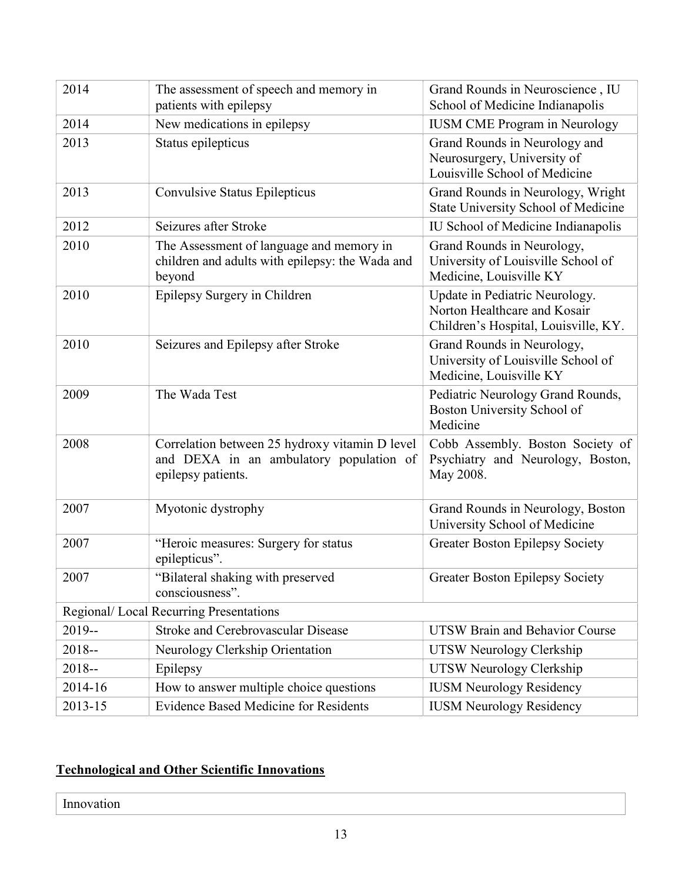| 2014                                    | The assessment of speech and memory in<br>patients with epilepsy                                                | Grand Rounds in Neuroscience, IU<br>School of Medicine Indianapolis                                    |
|-----------------------------------------|-----------------------------------------------------------------------------------------------------------------|--------------------------------------------------------------------------------------------------------|
| 2014                                    | New medications in epilepsy                                                                                     | <b>IUSM CME Program in Neurology</b>                                                                   |
| 2013                                    | Status epilepticus                                                                                              | Grand Rounds in Neurology and<br>Neurosurgery, University of<br>Louisville School of Medicine          |
| 2013                                    | Convulsive Status Epilepticus                                                                                   | Grand Rounds in Neurology, Wright<br>State University School of Medicine                               |
| 2012                                    | Seizures after Stroke                                                                                           | IU School of Medicine Indianapolis                                                                     |
| 2010                                    | The Assessment of language and memory in<br>children and adults with epilepsy: the Wada and<br>beyond           | Grand Rounds in Neurology,<br>University of Louisville School of<br>Medicine, Louisville KY            |
| 2010                                    | Epilepsy Surgery in Children                                                                                    | Update in Pediatric Neurology.<br>Norton Healthcare and Kosair<br>Children's Hospital, Louisville, KY. |
| 2010                                    | Seizures and Epilepsy after Stroke                                                                              | Grand Rounds in Neurology,<br>University of Louisville School of<br>Medicine, Louisville KY            |
| 2009                                    | The Wada Test                                                                                                   | Pediatric Neurology Grand Rounds,<br>Boston University School of<br>Medicine                           |
| 2008                                    | Correlation between 25 hydroxy vitamin D level<br>and DEXA in an ambulatory population of<br>epilepsy patients. | Cobb Assembly. Boston Society of<br>Psychiatry and Neurology, Boston,<br>May 2008.                     |
| 2007                                    | Myotonic dystrophy                                                                                              | Grand Rounds in Neurology, Boston<br>University School of Medicine                                     |
| 2007                                    | "Heroic measures: Surgery for status<br>epilepticus".                                                           | <b>Greater Boston Epilepsy Society</b>                                                                 |
| 2007                                    | "Bilateral shaking with preserved<br>consciousness".                                                            | <b>Greater Boston Epilepsy Society</b>                                                                 |
| Regional/ Local Recurring Presentations |                                                                                                                 |                                                                                                        |
| $2019 -$                                | <b>Stroke and Cerebrovascular Disease</b>                                                                       | <b>UTSW Brain and Behavior Course</b>                                                                  |
| $2018 -$                                | Neurology Clerkship Orientation                                                                                 | UTSW Neurology Clerkship                                                                               |
| $2018 -$                                | Epilepsy                                                                                                        | UTSW Neurology Clerkship                                                                               |
| 2014-16                                 | How to answer multiple choice questions                                                                         | <b>IUSM Neurology Residency</b>                                                                        |
| 2013-15                                 | <b>Evidence Based Medicine for Residents</b>                                                                    | <b>IUSM Neurology Residency</b>                                                                        |

# Technological and Other Scientific Innovations

Innovation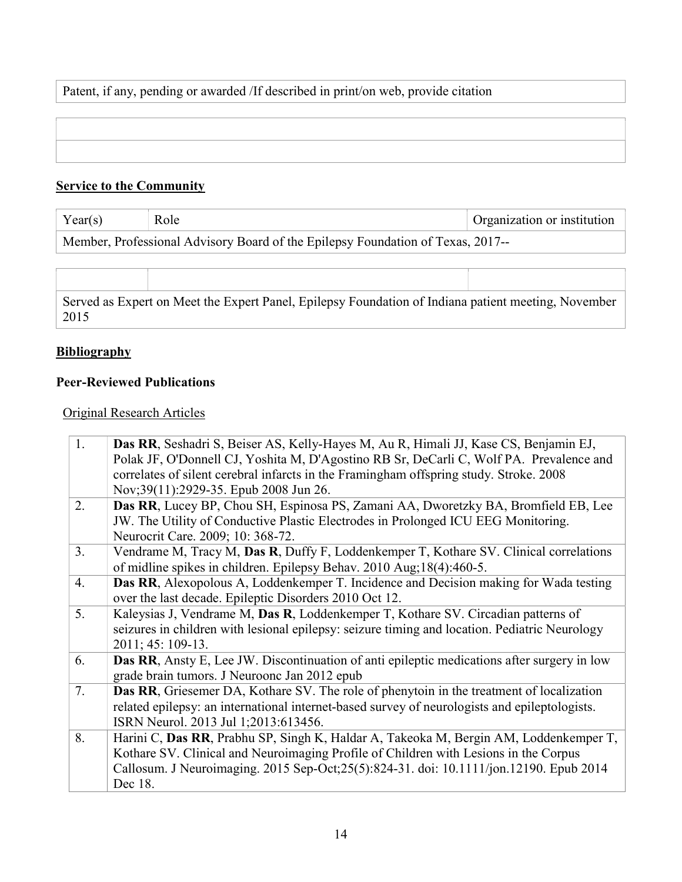Patent, if any, pending or awarded /If described in print/on web, provide citation

### Service to the Community

| $V_{\alpha\alpha\mu}$ | Droanization or institution |
|-----------------------|-----------------------------|
|                       |                             |

Member, Professional Advisory Board of the Epilepsy Foundation of Texas, 2017--

Served as Expert on Meet the Expert Panel, Epilepsy Foundation of Indiana patient meeting, November 2015

#### **Bibliography**

#### Peer-Reviewed Publications

#### Original Research Articles

| 1. | Das RR, Seshadri S, Beiser AS, Kelly-Hayes M, Au R, Himali JJ, Kase CS, Benjamin EJ,<br>Polak JF, O'Donnell CJ, Yoshita M, D'Agostino RB Sr, DeCarli C, Wolf PA. Prevalence and<br>correlates of silent cerebral infarcts in the Framingham offspring study. Stroke. 2008<br>Nov;39(11):2929-35. Epub 2008 Jun 26. |
|----|--------------------------------------------------------------------------------------------------------------------------------------------------------------------------------------------------------------------------------------------------------------------------------------------------------------------|
| 2. | Das RR, Lucey BP, Chou SH, Espinosa PS, Zamani AA, Dworetzky BA, Bromfield EB, Lee<br>JW. The Utility of Conductive Plastic Electrodes in Prolonged ICU EEG Monitoring.<br>Neurocrit Care. 2009; 10: 368-72.                                                                                                       |
| 3. | Vendrame M, Tracy M, Das R, Duffy F, Loddenkemper T, Kothare SV. Clinical correlations<br>of midline spikes in children. Epilepsy Behav. 2010 Aug; 18(4):460-5.                                                                                                                                                    |
| 4. | Das RR, Alexopolous A, Loddenkemper T. Incidence and Decision making for Wada testing<br>over the last decade. Epileptic Disorders 2010 Oct 12.                                                                                                                                                                    |
| 5. | Kaleysias J, Vendrame M, Das R, Loddenkemper T, Kothare SV. Circadian patterns of<br>seizures in children with lesional epilepsy: seizure timing and location. Pediatric Neurology<br>2011; 45: 109-13.                                                                                                            |
| 6. | <b>Das RR</b> , Ansty E, Lee JW. Discontinuation of anti-epileptic medications after surgery in low<br>grade brain tumors. J Neuroonc Jan 2012 epub                                                                                                                                                                |
| 7. | Das RR, Griesemer DA, Kothare SV. The role of phenytoin in the treatment of localization<br>related epilepsy: an international internet-based survey of neurologists and epileptologists.<br>ISRN Neurol. 2013 Jul 1;2013:613456.                                                                                  |
| 8. | Harini C, Das RR, Prabhu SP, Singh K, Haldar A, Takeoka M, Bergin AM, Loddenkemper T,<br>Kothare SV. Clinical and Neuroimaging Profile of Children with Lesions in the Corpus<br>Callosum. J Neuroimaging. 2015 Sep-Oct; 25(5): 824-31. doi: 10.1111/jon.12190. Epub 2014<br>Dec 18.                               |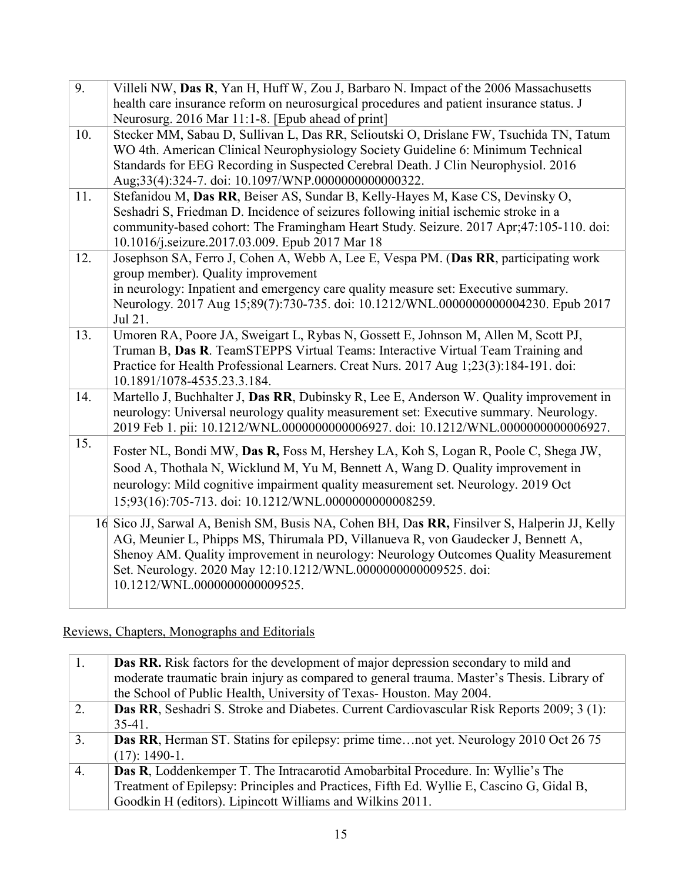| $\overline{9}$ . | Villeli NW, Das R, Yan H, Huff W, Zou J, Barbaro N. Impact of the 2006 Massachusetts<br>health care insurance reform on neurosurgical procedures and patient insurance status. J                                                                                                                                                                                           |
|------------------|----------------------------------------------------------------------------------------------------------------------------------------------------------------------------------------------------------------------------------------------------------------------------------------------------------------------------------------------------------------------------|
|                  | Neurosurg. 2016 Mar 11:1-8. [Epub ahead of print]                                                                                                                                                                                                                                                                                                                          |
| 10.              | Stecker MM, Sabau D, Sullivan L, Das RR, Selioutski O, Drislane FW, Tsuchida TN, Tatum<br>WO 4th. American Clinical Neurophysiology Society Guideline 6: Minimum Technical<br>Standards for EEG Recording in Suspected Cerebral Death. J Clin Neurophysiol. 2016<br>Aug;33(4):324-7. doi: 10.1097/WNP.0000000000000322.                                                    |
| 11.              | Stefanidou M, Das RR, Beiser AS, Sundar B, Kelly-Hayes M, Kase CS, Devinsky O,<br>Seshadri S, Friedman D. Incidence of seizures following initial ischemic stroke in a<br>community-based cohort: The Framingham Heart Study. Seizure. 2017 Apr;47:105-110. doi:<br>10.1016/j.seizure.2017.03.009. Epub 2017 Mar 18                                                        |
| 12.              | Josephson SA, Ferro J, Cohen A, Webb A, Lee E, Vespa PM. (Das RR, participating work<br>group member). Quality improvement<br>in neurology: Inpatient and emergency care quality measure set: Executive summary.<br>Neurology. 2017 Aug 15;89(7):730-735. doi: 10.1212/WNL.000000000004230. Epub 2017<br>Jul 21.                                                           |
| 13.              | Umoren RA, Poore JA, Sweigart L, Rybas N, Gossett E, Johnson M, Allen M, Scott PJ,<br>Truman B, Das R. TeamSTEPPS Virtual Teams: Interactive Virtual Team Training and<br>Practice for Health Professional Learners. Creat Nurs. 2017 Aug 1;23(3):184-191. doi:<br>10.1891/1078-4535.23.3.184.                                                                             |
| 14.              | Martello J, Buchhalter J, Das RR, Dubinsky R, Lee E, Anderson W. Quality improvement in<br>neurology: Universal neurology quality measurement set: Executive summary. Neurology.<br>2019 Feb 1. pii: 10.1212/WNL.0000000000006927. doi: 10.1212/WNL.0000000000006927.                                                                                                      |
| 15.              | Foster NL, Bondi MW, Das R, Foss M, Hershey LA, Koh S, Logan R, Poole C, Shega JW,<br>Sood A, Thothala N, Wicklund M, Yu M, Bennett A, Wang D. Quality improvement in<br>neurology: Mild cognitive impairment quality measurement set. Neurology. 2019 Oct<br>15;93(16):705-713. doi: 10.1212/WNL.0000000000008259.                                                        |
|                  | 16 Sico JJ, Sarwal A, Benish SM, Busis NA, Cohen BH, Das RR, Finsilver S, Halperin JJ, Kelly<br>AG, Meunier L, Phipps MS, Thirumala PD, Villanueva R, von Gaudecker J, Bennett A,<br>Shenoy AM. Quality improvement in neurology: Neurology Outcomes Quality Measurement<br>Set. Neurology. 2020 May 12:10.1212/WNL.000000000009525. doi:<br>10.1212/WNL.0000000000009525. |

Reviews, Chapters, Monographs and Editorials

| 1. | <b>Das RR.</b> Risk factors for the development of major depression secondary to mild and         |
|----|---------------------------------------------------------------------------------------------------|
|    | moderate traumatic brain injury as compared to general trauma. Master's Thesis. Library of        |
|    | the School of Public Health, University of Texas-Houston. May 2004.                               |
| 2. | <b>Das RR</b> , Seshadri S. Stroke and Diabetes. Current Cardiovascular Risk Reports 2009; 3 (1): |
|    | $35-41.$                                                                                          |
| 3. | Das RR, Herman ST. Statins for epilepsy: prime timenot yet. Neurology 2010 Oct 26 75              |
|    | $(17): 1490-1.$                                                                                   |
| 4. | <b>Das R,</b> Loddenkemper T. The Intracarotid Amobarbital Procedure. In: Wyllie's The            |
|    | Treatment of Epilepsy: Principles and Practices, Fifth Ed. Wyllie E, Cascino G, Gidal B,          |
|    | Goodkin H (editors). Lipincott Williams and Wilkins 2011.                                         |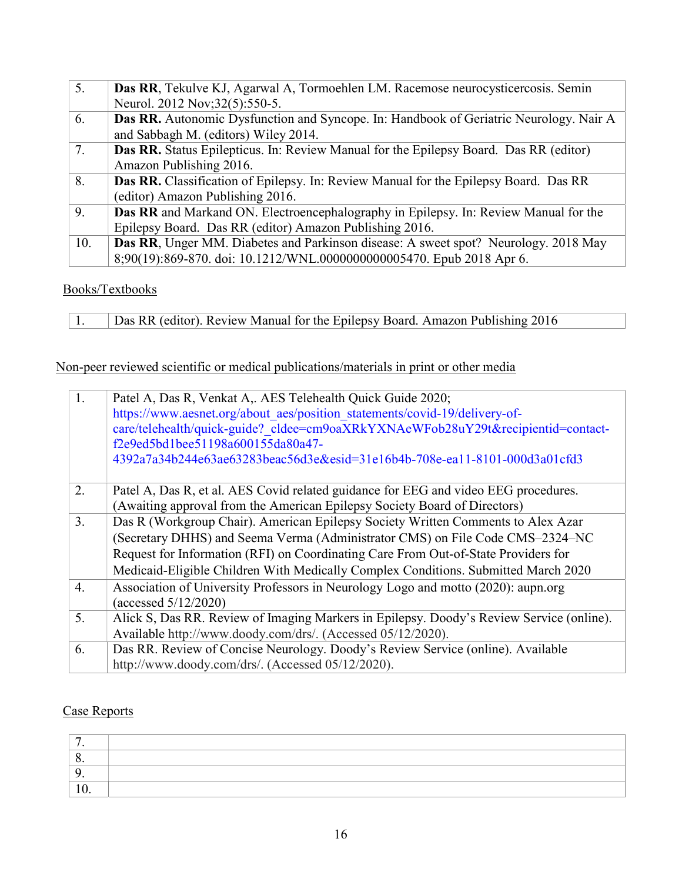| 5.  | Das RR, Tekulve KJ, Agarwal A, Tormoehlen LM. Racemose neurocysticercosis. Semin              |
|-----|-----------------------------------------------------------------------------------------------|
|     | Neurol. 2012 Nov;32(5):550-5.                                                                 |
| 6.  | <b>Das RR.</b> Autonomic Dysfunction and Syncope. In: Handbook of Geriatric Neurology. Nair A |
|     | and Sabbagh M. (editors) Wiley 2014.                                                          |
| 7.  | Das RR. Status Epilepticus. In: Review Manual for the Epilepsy Board. Das RR (editor)         |
|     | Amazon Publishing 2016.                                                                       |
| 8.  | Das RR. Classification of Epilepsy. In: Review Manual for the Epilepsy Board. Das RR          |
|     | (editor) Amazon Publishing 2016.                                                              |
| 9.  | Das RR and Markand ON. Electroencephalography in Epilepsy. In: Review Manual for the          |
|     | Epilepsy Board. Das RR (editor) Amazon Publishing 2016.                                       |
| 10. | Das RR, Unger MM. Diabetes and Parkinson disease: A sweet spot? Neurology. 2018 May           |
|     | 8;90(19):869-870. doi: 10.1212/WNL.000000000005470. Epub 2018 Apr 6.                          |

### Books/Textbooks

1. Das RR (editor). Review Manual for the Epilepsy Board. Amazon Publishing 2016

# Non-peer reviewed scientific or medical publications/materials in print or other media

| 1. | Patel A, Das R, Venkat A,. AES Telehealth Quick Guide 2020;<br>https://www.aesnet.org/about aes/position statements/covid-19/delivery-of-<br>care/telehealth/quick-guide? cldee=cm9oaXRkYXNAeWFob28uY29t&recipientid=contact-<br>f2e9ed5bd1bee51198a600155da80a47-<br>4392a7a34b244e63ae63283beac56d3e&esid=31e16b4b-708e-ea11-8101-000d3a01cfd3 |
|----|--------------------------------------------------------------------------------------------------------------------------------------------------------------------------------------------------------------------------------------------------------------------------------------------------------------------------------------------------|
| 2. | Patel A, Das R, et al. AES Covid related guidance for EEG and video EEG procedures.<br>(Awaiting approval from the American Epilepsy Society Board of Directors)                                                                                                                                                                                 |
| 3. | Das R (Workgroup Chair). American Epilepsy Society Written Comments to Alex Azar<br>(Secretary DHHS) and Seema Verma (Administrator CMS) on File Code CMS-2324-NC<br>Request for Information (RFI) on Coordinating Care From Out-of-State Providers for<br>Medicaid-Eligible Children With Medically Complex Conditions. Submitted March 2020    |
| 4. | Association of University Professors in Neurology Logo and motto (2020): aupn.org<br>(accessed $5/12/2020$ )                                                                                                                                                                                                                                     |
| 5. | Alick S, Das RR. Review of Imaging Markers in Epilepsy. Doody's Review Service (online).<br>Available http://www.doody.com/drs/. (Accessed 05/12/2020).                                                                                                                                                                                          |
| 6. | Das RR. Review of Concise Neurology. Doody's Review Service (online). Available<br>http://www.doody.com/drs/. (Accessed 05/12/2020).                                                                                                                                                                                                             |

### Case Reports

| $\cdot$ v |  |
|-----------|--|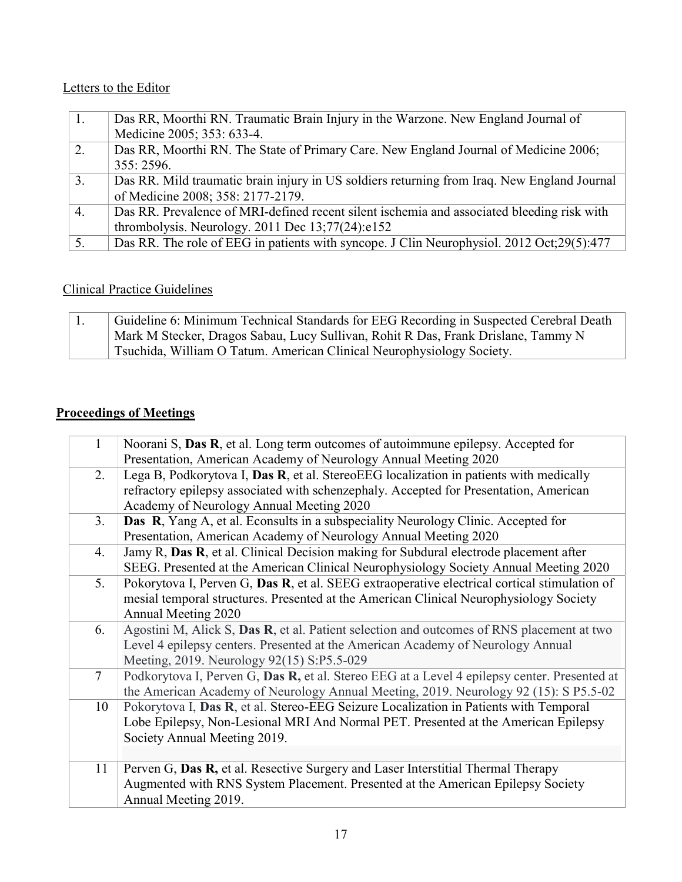### Letters to the Editor

| 1. | Das RR, Moorthi RN. Traumatic Brain Injury in the Warzone. New England Journal of           |
|----|---------------------------------------------------------------------------------------------|
|    | Medicine 2005; 353: 633-4.                                                                  |
| 2. | Das RR, Moorthi RN. The State of Primary Care. New England Journal of Medicine 2006;        |
|    | 355: 2596.                                                                                  |
| 3. | Das RR. Mild traumatic brain injury in US soldiers returning from Iraq. New England Journal |
|    | of Medicine 2008; 358: 2177-2179.                                                           |
| 4. | Das RR. Prevalence of MRI-defined recent silent ischemia and associated bleeding risk with  |
|    | thrombolysis. Neurology. 2011 Dec $13;77(24):e152$                                          |
| 5. | Das RR. The role of EEG in patients with syncope. J Clin Neurophysiol. 2012 Oct;29(5):477   |

# Clinical Practice Guidelines

|  | Guideline 6: Minimum Technical Standards for EEG Recording in Suspected Cerebral Death |
|--|----------------------------------------------------------------------------------------|
|  | Mark M Stecker, Dragos Sabau, Lucy Sullivan, Rohit R Das, Frank Drislane, Tammy N      |
|  | Tsuchida, William O Tatum. American Clinical Neurophysiology Society.                  |

# Proceedings of Meetings

| 1              | Noorani S, Das R, et al. Long term outcomes of autoimmune epilepsy. Accepted for             |
|----------------|----------------------------------------------------------------------------------------------|
|                | Presentation, American Academy of Neurology Annual Meeting 2020                              |
| 2.             | Lega B, Podkorytova I, Das R, et al. StereoEEG localization in patients with medically       |
|                | refractory epilepsy associated with schenzephaly. Accepted for Presentation, American        |
|                | Academy of Neurology Annual Meeting 2020                                                     |
| 3.             | Das R, Yang A, et al. Econsults in a subspeciality Neurology Clinic. Accepted for            |
|                | Presentation, American Academy of Neurology Annual Meeting 2020                              |
| 4.             | Jamy R, Das R, et al. Clinical Decision making for Subdural electrode placement after        |
|                | SEEG. Presented at the American Clinical Neurophysiology Society Annual Meeting 2020         |
| 5.             | Pokorytova I, Perven G, Das R, et al. SEEG extraoperative electrical cortical stimulation of |
|                | mesial temporal structures. Presented at the American Clinical Neurophysiology Society       |
|                | Annual Meeting 2020                                                                          |
| 6.             | Agostini M, Alick S, Das R, et al. Patient selection and outcomes of RNS placement at two    |
|                | Level 4 epilepsy centers. Presented at the American Academy of Neurology Annual              |
|                | Meeting, 2019. Neurology 92(15) S:P5.5-029                                                   |
| $\overline{7}$ | Podkorytova I, Perven G, Das R, et al. Stereo EEG at a Level 4 epilepsy center. Presented at |
|                | the American Academy of Neurology Annual Meeting, 2019. Neurology 92 (15): S P5.5-02         |
| 10             | Pokorytova I, Das R, et al. Stereo-EEG Seizure Localization in Patients with Temporal        |
|                | Lobe Epilepsy, Non-Lesional MRI And Normal PET. Presented at the American Epilepsy           |
|                | Society Annual Meeting 2019.                                                                 |
|                |                                                                                              |
| 11             | Perven G, Das R, et al. Resective Surgery and Laser Interstitial Thermal Therapy             |
|                | Augmented with RNS System Placement. Presented at the American Epilepsy Society              |
|                | Annual Meeting 2019.                                                                         |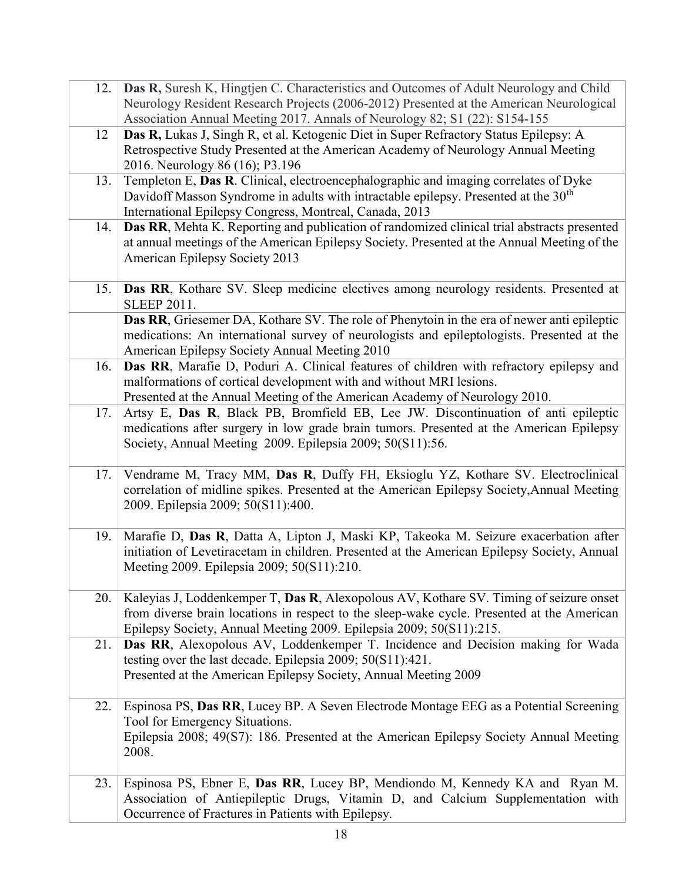| 12. | Das R, Suresh K, Hingtjen C. Characteristics and Outcomes of Adult Neurology and Child<br>Neurology Resident Research Projects (2006-2012) Presented at the American Neurological<br>Association Annual Meeting 2017. Annals of Neurology 82; S1 (22): S154-155 |
|-----|-----------------------------------------------------------------------------------------------------------------------------------------------------------------------------------------------------------------------------------------------------------------|
|     |                                                                                                                                                                                                                                                                 |
| 12  | Das R, Lukas J, Singh R, et al. Ketogenic Diet in Super Refractory Status Epilepsy: A                                                                                                                                                                           |
|     | Retrospective Study Presented at the American Academy of Neurology Annual Meeting                                                                                                                                                                               |
|     | 2016. Neurology 86 (16); P3.196                                                                                                                                                                                                                                 |
| 13. | Templeton E, Das R. Clinical, electroencephalographic and imaging correlates of Dyke                                                                                                                                                                            |
|     | Davidoff Masson Syndrome in adults with intractable epilepsy. Presented at the 30 <sup>th</sup>                                                                                                                                                                 |
|     | International Epilepsy Congress, Montreal, Canada, 2013                                                                                                                                                                                                         |
| 14. | Das RR, Mehta K. Reporting and publication of randomized clinical trial abstracts presented                                                                                                                                                                     |
|     | at annual meetings of the American Epilepsy Society. Presented at the Annual Meeting of the                                                                                                                                                                     |
|     | American Epilepsy Society 2013                                                                                                                                                                                                                                  |
|     |                                                                                                                                                                                                                                                                 |
|     |                                                                                                                                                                                                                                                                 |
| 15. | Das RR, Kothare SV. Sleep medicine electives among neurology residents. Presented at                                                                                                                                                                            |
|     | <b>SLEEP 2011.</b>                                                                                                                                                                                                                                              |
|     | Das RR, Griesemer DA, Kothare SV. The role of Phenytoin in the era of newer anti epileptic                                                                                                                                                                      |
|     | medications: An international survey of neurologists and epileptologists. Presented at the                                                                                                                                                                      |
|     | American Epilepsy Society Annual Meeting 2010                                                                                                                                                                                                                   |
| 16. | Das RR, Marafie D, Poduri A. Clinical features of children with refractory epilepsy and                                                                                                                                                                         |
|     | malformations of cortical development with and without MRI lesions.                                                                                                                                                                                             |
|     | Presented at the Annual Meeting of the American Academy of Neurology 2010.                                                                                                                                                                                      |
| 17. | Artsy E, Das R, Black PB, Bromfield EB, Lee JW. Discontinuation of anti-epileptic                                                                                                                                                                               |
|     | medications after surgery in low grade brain tumors. Presented at the American Epilepsy                                                                                                                                                                         |
|     | Society, Annual Meeting 2009. Epilepsia 2009; 50(S11):56.                                                                                                                                                                                                       |
|     |                                                                                                                                                                                                                                                                 |
| 17. | Vendrame M, Tracy MM, Das R, Duffy FH, Eksioglu YZ, Kothare SV. Electroclinical                                                                                                                                                                                 |
|     | correlation of midline spikes. Presented at the American Epilepsy Society, Annual Meeting                                                                                                                                                                       |
|     | 2009. Epilepsia 2009; 50(S11):400.                                                                                                                                                                                                                              |
|     |                                                                                                                                                                                                                                                                 |
| 19. | Marafie D, Das R, Datta A, Lipton J, Maski KP, Takeoka M. Seizure exacerbation after                                                                                                                                                                            |
|     |                                                                                                                                                                                                                                                                 |
|     | initiation of Levetiracetam in children. Presented at the American Epilepsy Society, Annual                                                                                                                                                                     |
|     | Meeting 2009. Epilepsia 2009; 50(S11):210.                                                                                                                                                                                                                      |
|     |                                                                                                                                                                                                                                                                 |
| 20. | Kaleyias J, Loddenkemper T, Das R, Alexopolous AV, Kothare SV. Timing of seizure onset                                                                                                                                                                          |
|     | from diverse brain locations in respect to the sleep-wake cycle. Presented at the American                                                                                                                                                                      |
|     | Epilepsy Society, Annual Meeting 2009. Epilepsia 2009; 50(S11):215.                                                                                                                                                                                             |
| 21. | Das RR, Alexopolous AV, Loddenkemper T. Incidence and Decision making for Wada                                                                                                                                                                                  |
|     | testing over the last decade. Epilepsia 2009; 50(S11):421.                                                                                                                                                                                                      |
|     | Presented at the American Epilepsy Society, Annual Meeting 2009                                                                                                                                                                                                 |
|     |                                                                                                                                                                                                                                                                 |
| 22. | Espinosa PS, Das RR, Lucey BP. A Seven Electrode Montage EEG as a Potential Screening                                                                                                                                                                           |
|     | Tool for Emergency Situations.                                                                                                                                                                                                                                  |
|     | Epilepsia 2008; 49(S7): 186. Presented at the American Epilepsy Society Annual Meeting                                                                                                                                                                          |
|     | 2008.                                                                                                                                                                                                                                                           |
|     |                                                                                                                                                                                                                                                                 |
| 23. | Espinosa PS, Ebner E, Das RR, Lucey BP, Mendiondo M, Kennedy KA and Ryan M.                                                                                                                                                                                     |
|     | Association of Antiepileptic Drugs, Vitamin D, and Calcium Supplementation with                                                                                                                                                                                 |
|     | Occurrence of Fractures in Patients with Epilepsy.                                                                                                                                                                                                              |
|     |                                                                                                                                                                                                                                                                 |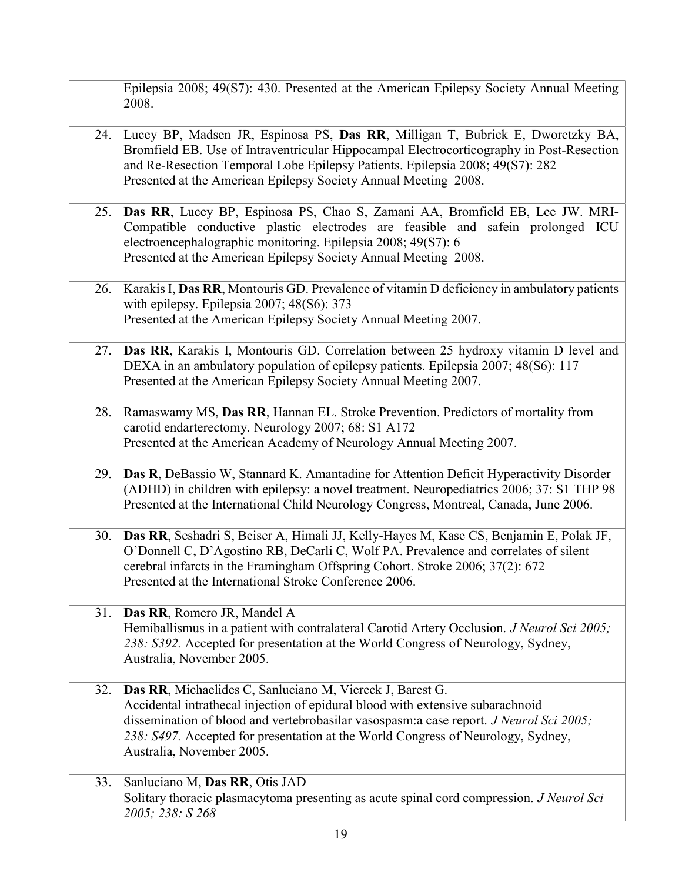|     | Epilepsia 2008; 49(S7): 430. Presented at the American Epilepsy Society Annual Meeting<br>2008.                                                                                                                                                                                                                                                         |
|-----|---------------------------------------------------------------------------------------------------------------------------------------------------------------------------------------------------------------------------------------------------------------------------------------------------------------------------------------------------------|
| 24. | Lucey BP, Madsen JR, Espinosa PS, Das RR, Milligan T, Bubrick E, Dworetzky BA,<br>Bromfield EB. Use of Intraventricular Hippocampal Electrocorticography in Post-Resection<br>and Re-Resection Temporal Lobe Epilepsy Patients. Epilepsia 2008; 49(S7): 282<br>Presented at the American Epilepsy Society Annual Meeting 2008.                          |
| 25. | Das RR, Lucey BP, Espinosa PS, Chao S, Zamani AA, Bromfield EB, Lee JW. MRI-<br>Compatible conductive plastic electrodes are feasible and safein prolonged ICU<br>electroencephalographic monitoring. Epilepsia 2008; 49(S7): 6<br>Presented at the American Epilepsy Society Annual Meeting 2008.                                                      |
| 26. | Karakis I, Das RR, Montouris GD. Prevalence of vitamin D deficiency in ambulatory patients<br>with epilepsy. Epilepsia 2007; 48(S6): 373<br>Presented at the American Epilepsy Society Annual Meeting 2007.                                                                                                                                             |
| 27. | Das RR, Karakis I, Montouris GD. Correlation between 25 hydroxy vitamin D level and<br>DEXA in an ambulatory population of epilepsy patients. Epilepsia 2007; 48(S6): 117<br>Presented at the American Epilepsy Society Annual Meeting 2007.                                                                                                            |
| 28. | Ramaswamy MS, Das RR, Hannan EL. Stroke Prevention. Predictors of mortality from<br>carotid endarterectomy. Neurology 2007; 68: S1 A172<br>Presented at the American Academy of Neurology Annual Meeting 2007.                                                                                                                                          |
| 29. | Das R, DeBassio W, Stannard K. Amantadine for Attention Deficit Hyperactivity Disorder<br>(ADHD) in children with epilepsy: a novel treatment. Neuropediatrics 2006; 37: S1 THP 98<br>Presented at the International Child Neurology Congress, Montreal, Canada, June 2006.                                                                             |
| 30. | Das RR, Seshadri S, Beiser A, Himali JJ, Kelly-Hayes M, Kase CS, Benjamin E, Polak JF,<br>O'Donnell C, D'Agostino RB, DeCarli C, Wolf PA. Prevalence and correlates of silent<br>cerebral infarcts in the Framingham Offspring Cohort. Stroke 2006; 37(2): 672<br>Presented at the International Stroke Conference 2006.                                |
| 31. | Das RR, Romero JR, Mandel A<br>Hemiballismus in a patient with contralateral Carotid Artery Occlusion. J Neurol Sci 2005;<br>238: S392. Accepted for presentation at the World Congress of Neurology, Sydney,<br>Australia, November 2005.                                                                                                              |
| 32. | Das RR, Michaelides C, Sanluciano M, Viereck J, Barest G.<br>Accidental intrathecal injection of epidural blood with extensive subarachnoid<br>dissemination of blood and vertebrobasilar vasospasm: a case report. J Neurol Sci 2005;<br>238: S497. Accepted for presentation at the World Congress of Neurology, Sydney,<br>Australia, November 2005. |
| 33. | Sanluciano M, Das RR, Otis JAD<br>Solitary thoracic plasmacytoma presenting as acute spinal cord compression. J Neurol Sci<br>2005; 238: S 268                                                                                                                                                                                                          |